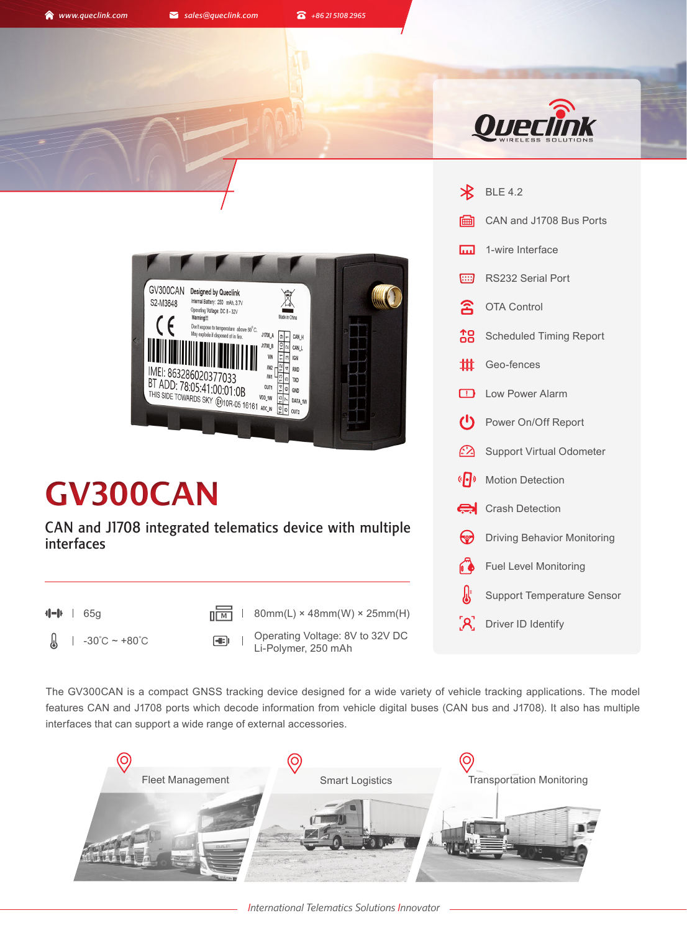**A** www.queclink.com **a** sales@queclink.com **a** +86 21 5108 2965



BLE 4.2

 $\boldsymbol{\mathcal{R}}$ 



# **GV300CAN**

CAN and J1708 integrated telematics device with multiple interfaces

 $\sqrt{\frac{1}{M}}$  | 65g **M**  $\sqrt{\frac{1}{M}}$  | 80mm(L) × 48mm(W) × 25mm(H)

Л

-30℃ ~ +80℃ Operating Voltage: 8V to 32V DC Li-Polymer, 250 mAh

圇 CAN and J1708 Bus Ports 1-wire Interface **In** RS232 Serial Port [:::] ፰ OTA Control Scheduled Timing Report 妣 Geo-fences  $\Box$ Low Power Alarm  $\mathcal{C}^{\prime}$ Power On/Off Report  $\mathcal{L}$ Support Virtual Odometer  $\langle \mathsf{P} \rangle$ Motion Detection Crash Detection Driving Behavior Monitoring 63 Fuel Level Monitoring Support Temperature Sensor [R] Driver ID Identify

The GV300CAN is a compact GNSS tracking device designed for a wide variety of vehicle tracking applications. The model features CAN and J1708 ports which decode information from vehicle digital buses (CAN bus and J1708). It also has multiple interfaces that can support a wide range of external accessories.

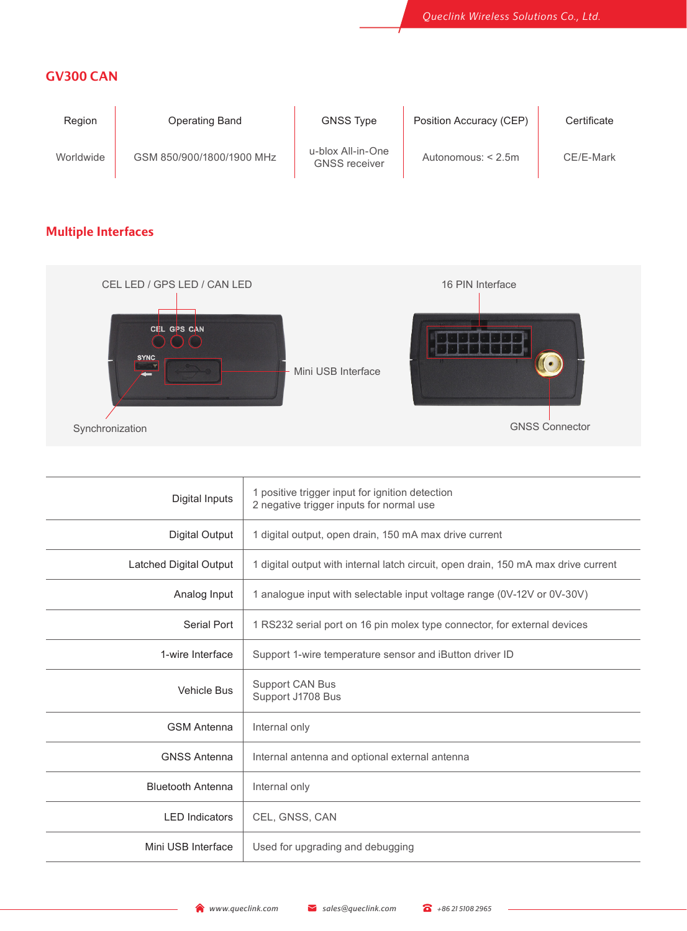## **GV300 CAN**

| Region    | Operating Band            | <b>GNSS Type</b>                          | Position Accuracy (CEP) | Certificate |
|-----------|---------------------------|-------------------------------------------|-------------------------|-------------|
| Worldwide | GSM 850/900/1800/1900 MHz | u-blox All-in-One<br><b>GNSS</b> receiver | Autonomous: $< 2.5$ m   | CE/E-Mark   |

# **Multiple Interfaces**



| Digital Inputs           | 1 positive trigger input for ignition detection<br>2 negative trigger inputs for normal use |  |  |
|--------------------------|---------------------------------------------------------------------------------------------|--|--|
| Digital Output           | 1 digital output, open drain, 150 mA max drive current                                      |  |  |
| Latched Digital Output   | 1 digital output with internal latch circuit, open drain, 150 mA max drive current          |  |  |
| Analog Input             | 1 analogue input with selectable input voltage range (0V-12V or 0V-30V)                     |  |  |
| Serial Port              | 1 RS232 serial port on 16 pin molex type connector, for external devices                    |  |  |
| 1-wire Interface         | Support 1-wire temperature sensor and iButton driver ID                                     |  |  |
| <b>Vehicle Bus</b>       | Support CAN Bus<br>Support J1708 Bus                                                        |  |  |
| <b>GSM Antenna</b>       | Internal only                                                                               |  |  |
| <b>GNSS Antenna</b>      | Internal antenna and optional external antenna                                              |  |  |
| <b>Bluetooth Antenna</b> | Internal only                                                                               |  |  |
| <b>LED</b> Indicators    | CEL, GNSS, CAN                                                                              |  |  |
| Mini USB Interface       | Used for upgrading and debugging                                                            |  |  |
|                          |                                                                                             |  |  |